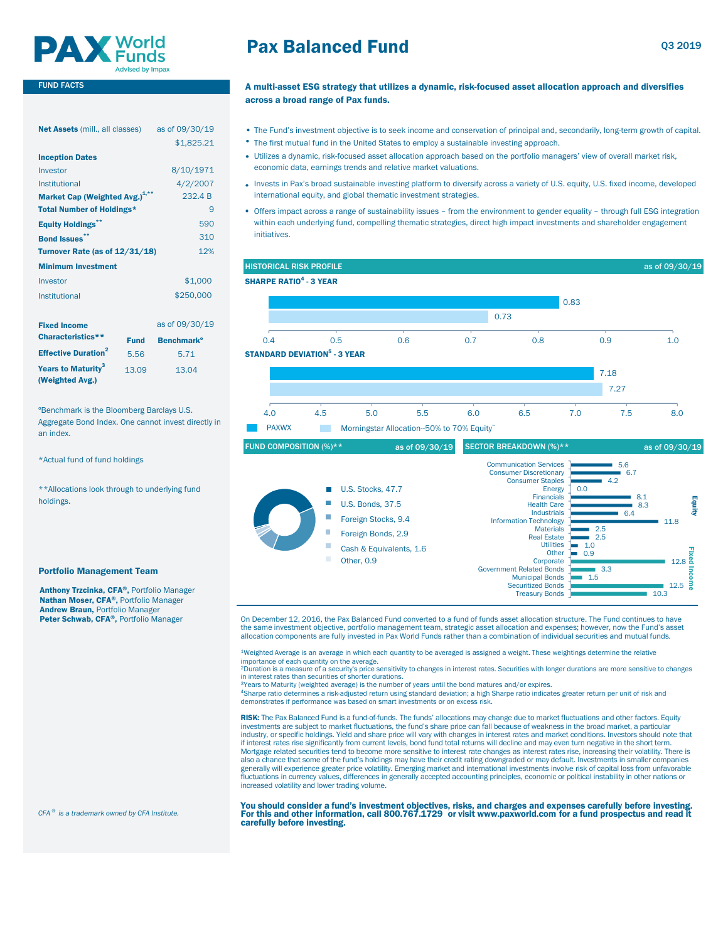

### FUND FACTS

| <b>Net Assets</b> (mill., all classes)     | as of 09/30/19 | • The Fund's investment                  |
|--------------------------------------------|----------------|------------------------------------------|
|                                            | \$1,825.21     | • The first mutual fund in               |
| <b>Inception Dates</b>                     |                | · Utilizes a dynamic, risk-              |
| Investor                                   | 8/10/1971      | economic data, earning                   |
| Institutional                              | 4/2/2007       | . Invests in Pax's broad s               |
| Market Cap (Weighted Avg.) <sup>1,**</sup> | 232.4 B        | international equity, and                |
| <b>Total Number of Holdings*</b>           | 9              | • Offers impact across a r               |
| <b>Equity Holdings</b>                     | 590            | within each underlying t                 |
| <b>Bond Issues**</b>                       | 310            | initiatives.                             |
| Turnover Rate (as of 12/31/18)             | 12%            |                                          |
| <b>Minimum Investment</b>                  |                | <b>HISTORICAL RISK PROFIL</b>            |
| Investor                                   | \$1,000        | <b>SHARPE RATIO<sup>4</sup> - 3 YEAR</b> |
| Institutional                              | \$250,000      |                                          |
|                                            |                |                                          |

| <b>Fixed Income</b>                               |             | as of 09/30/19               |     |                                                |
|---------------------------------------------------|-------------|------------------------------|-----|------------------------------------------------|
| Characteristics**                                 | <b>Fund</b> | <b>Benchmark<sup>o</sup></b> | 0.4 | 0.5                                            |
| <b>Effective Duration<sup>2</sup></b>             | 5.56        | 5.71                         |     | <b>STANDARD DEVIATION<sup>5</sup> - 3 YEAR</b> |
| Years to Maturity <sup>3</sup><br>(Weighted Avg.) | 13.09       | 13.04                        |     |                                                |

ºBenchmark is the Bloomberg Barclays U.S. Aggregate Bond Index. One cannot invest directly in an index.

\*Actual fund of fund holdings

\*\*Allocations look through to underlying fund holdings.

#### Portfolio Management Team

Anthony Trzcinka, CFA®, Portfolio Manager Nathan Moser, CFA®, Portfolio Manager Andrew Braun, Portfolio Manager Peter Schwab, CFA®, Portfolio Manager

## Pax Balanced Fund

### A multi-asset ESG strategy that utilizes a dynamic, risk-focused asset allocation approach and diversifies across a broad range of Pax funds.

- The Fund's investment objective is to seek income and conservation of principal and, secondarily, long-term growth of capital.
- The first mutual fund in the United States to employ a sustainable investing approach.
- Utilizes a dynamic, risk-focused asset allocation approach based on the portfolio managers' view of overall market risk, economic data, earnings trends and relative market valuations.
- . Invests in Pax's broad sustainable investing platform to diversify across a variety of U.S. equity, U.S. fixed income, developed international equity, and global thematic investment strategies.
- Offers impact across a range of sustainability issues from the environment to gender equality through full ESG integration within each underlying fund, compelling thematic strategies, direct high impact investments and shareholder engagement initiatives.





On December 12, 2016, the Pax Balanced Fund converted to a fund of funds asset allocation structure. The Fund continues to have the same investment objective, portfolio management team, strategic asset allocation and expenses; however, now the Fund's asset allocation components are fully invested in Pax World Funds rather than a combination of individual securities and mutual funds.

1Weighted Average is an average in which each quantity to be averaged is assigned a weight. These weightings determine the relative

importance of each quantity on the average.<br><sup>2</sup>Duration is a measure of a security's price sensitivity to changes in interest rates. Securities with longer durations are more sensitive to changes in interest rates than securities of shorter durations.

<sup>3</sup>Years to Maturity (weighted average) is the number of years until the bond matures and/or expires.<br><sup>4</sup>Sharpe ratio determines a risk-adjusted return using standard deviation; a high Sharpe ratio indicates greater return

demonstrates if performance was based on smart investments or on excess risk.

RISK: The Pax Balanced Fund is a fund-of-funds. The funds' allocations may change due to market fluctuations and other factors. Equity investments are subject to market fluctuations, the fund's share price can fall because of weakness in the broad market, a particular industry, or specific holdings. Yield and share price will vary with changes in interest rates and market conditions. Investors should note that<br>if interest rates rise significantly from current levels, bond fund total ret Mortgage related securities tend to become more sensitive to interest rate changes as interest rates rise, increasing their volatility. There is also a chance that some of the fund's holdings may have their credit rating downgraded or may default. Investments in smaller companies<br>generally will experience greater price volatility. Emerging market and international fluctuations in currency values, differences in generally accepted accounting principles, economic or political instability in other nations or increased volatility and lower trading volume.

You should consider a fund's investment objectives, risks, and charges and expenses carefully before investing. For this and other information, call 800.767.1729 or visit www.paxworld.com for a fund prospectus and read it carefully before investing.

*CFA ® is a trademark owned by CFA Institute.*